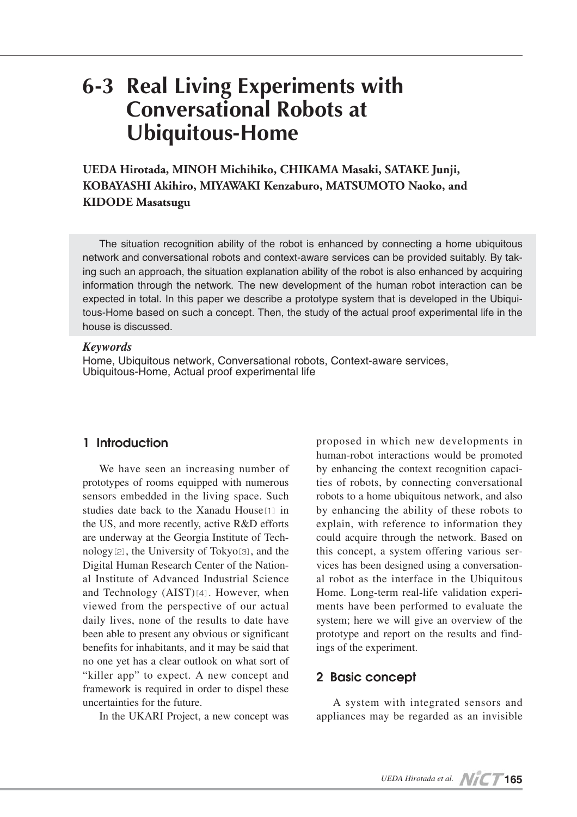# **6-3 Real Living Experiments with Conversational Robots at Ubiquitous-Home**

**UEDA Hirotada, MINOH Michihiko, CHIKAMA Masaki, SATAKE Junji, KOBAYASHI Akihiro, MIYAWAKI Kenzaburo, MATSUMOTO Naoko, and KIDODE Masatsugu**

The situation recognition ability of the robot is enhanced by connecting a home ubiquitous network and conversational robots and context-aware services can be provided suitably. By taking such an approach, the situation explanation ability of the robot is also enhanced by acquiring information through the network. The new development of the human robot interaction can be expected in total. In this paper we describe a prototype system that is developed in the Ubiquitous-Home based on such a concept. Then, the study of the actual proof experimental life in the house is discussed.

### *Keywords*

Home, Ubiquitous network, Conversational robots, Context-aware services, Ubiquitous-Home, Actual proof experimental life

# **1 Introduction**

We have seen an increasing number of prototypes of rooms equipped with numerous sensors embedded in the living space. Such studies date back to the Xanadu House<sup>[1]</sup> in the US, and more recently, active R&D efforts are underway at the Georgia Institute of Technology[2], the University of Tokyo[3], and the Digital Human Research Center of the National Institute of Advanced Industrial Science and Technology (AIST)[4]. However, when viewed from the perspective of our actual daily lives, none of the results to date have been able to present any obvious or significant benefits for inhabitants, and it may be said that no one yet has a clear outlook on what sort of "killer app" to expect. A new concept and framework is required in order to dispel these uncertainties for the future.

In the UKARI Project, a new concept was

proposed in which new developments in human-robot interactions would be promoted by enhancing the context recognition capacities of robots, by connecting conversational robots to a home ubiquitous network, and also by enhancing the ability of these robots to explain, with reference to information they could acquire through the network. Based on this concept, a system offering various services has been designed using a conversational robot as the interface in the Ubiquitous Home. Long-term real-life validation experiments have been performed to evaluate the system; here we will give an overview of the prototype and report on the results and findings of the experiment.

### **2 Basic concept**

A system with integrated sensors and appliances may be regarded as an invisible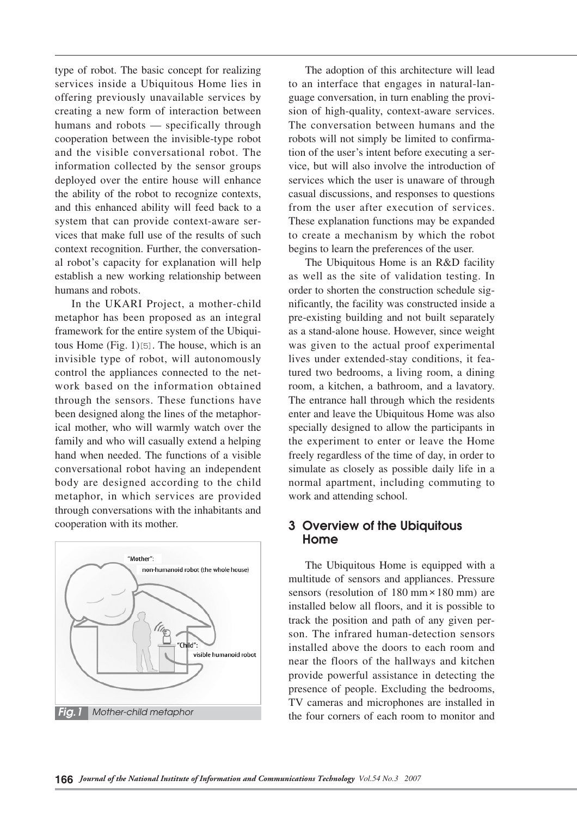type of robot. The basic concept for realizing services inside a Ubiquitous Home lies in offering previously unavailable services by creating a new form of interaction between humans and robots — specifically through cooperation between the invisible-type robot and the visible conversational robot. The information collected by the sensor groups deployed over the entire house will enhance the ability of the robot to recognize contexts, and this enhanced ability will feed back to a system that can provide context-aware services that make full use of the results of such context recognition. Further, the conversational robot's capacity for explanation will help establish a new working relationship between humans and robots.

In the UKARI Project, a mother-child metaphor has been proposed as an integral framework for the entire system of the Ubiquitous Home (Fig. 1)[5]. The house, which is an invisible type of robot, will autonomously control the appliances connected to the network based on the information obtained through the sensors. These functions have been designed along the lines of the metaphorical mother, who will warmly watch over the family and who will casually extend a helping hand when needed. The functions of a visible conversational robot having an independent body are designed according to the child metaphor, in which services are provided through conversations with the inhabitants and cooperation with its mother.



The adoption of this architecture will lead to an interface that engages in natural-language conversation, in turn enabling the provision of high-quality, context-aware services. The conversation between humans and the robots will not simply be limited to confirmation of the user's intent before executing a service, but will also involve the introduction of services which the user is unaware of through casual discussions, and responses to questions from the user after execution of services. These explanation functions may be expanded to create a mechanism by which the robot begins to learn the preferences of the user.

The Ubiquitous Home is an R&D facility as well as the site of validation testing. In order to shorten the construction schedule significantly, the facility was constructed inside a pre-existing building and not built separately as a stand-alone house. However, since weight was given to the actual proof experimental lives under extended-stay conditions, it featured two bedrooms, a living room, a dining room, a kitchen, a bathroom, and a lavatory. The entrance hall through which the residents enter and leave the Ubiquitous Home was also specially designed to allow the participants in the experiment to enter or leave the Home freely regardless of the time of day, in order to simulate as closely as possible daily life in a normal apartment, including commuting to work and attending school.

## **3 Overview of the Ubiquitous Home**

The Ubiquitous Home is equipped with a multitude of sensors and appliances. Pressure sensors (resolution of 180 mm × 180 mm) are installed below all floors, and it is possible to track the position and path of any given person. The infrared human-detection sensors installed above the doors to each room and near the floors of the hallways and kitchen provide powerful assistance in detecting the presence of people. Excluding the bedrooms, TV cameras and microphones are installed in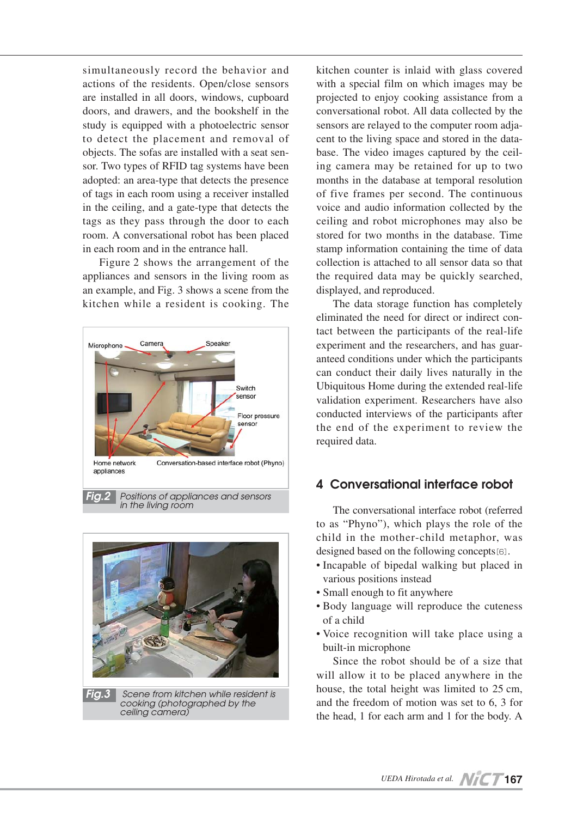simultaneously record the behavior and actions of the residents. Open/close sensors are installed in all doors, windows, cupboard doors, and drawers, and the bookshelf in the study is equipped with a photoelectric sensor to detect the placement and removal of objects. The sofas are installed with a seat sensor. Two types of RFID tag systems have been adopted: an area-type that detects the presence of tags in each room using a receiver installed in the ceiling, and a gate-type that detects the tags as they pass through the door to each room. A conversational robot has been placed in each room and in the entrance hall.

Figure 2 shows the arrangement of the appliances and sensors in the living room as an example, and Fig. 3 shows a scene from the kitchen while a resident is cooking. The





*cooking (photographed by the ceiling camera)*

kitchen counter is inlaid with glass covered with a special film on which images may be projected to enjoy cooking assistance from a conversational robot. All data collected by the sensors are relayed to the computer room adjacent to the living space and stored in the database. The video images captured by the ceiling camera may be retained for up to two months in the database at temporal resolution of five frames per second. The continuous voice and audio information collected by the ceiling and robot microphones may also be stored for two months in the database. Time stamp information containing the time of data collection is attached to all sensor data so that the required data may be quickly searched, displayed, and reproduced.

The data storage function has completely eliminated the need for direct or indirect contact between the participants of the real-life experiment and the researchers, and has guaranteed conditions under which the participants can conduct their daily lives naturally in the Ubiquitous Home during the extended real-life validation experiment. Researchers have also conducted interviews of the participants after the end of the experiment to review the required data.

# **4 Conversational interface robot**

The conversational interface robot (referred to as "Phyno"), which plays the role of the child in the mother-child metaphor, was designed based on the following concepts[6].

- Incapable of bipedal walking but placed in various positions instead
- Small enough to fit anywhere
- Body language will reproduce the cuteness of a child
- Voice recognition will take place using a built-in microphone

Since the robot should be of a size that will allow it to be placed anywhere in the house, the total height was limited to 25 cm, and the freedom of motion was set to 6, 3 for the head, 1 for each arm and 1 for the body. A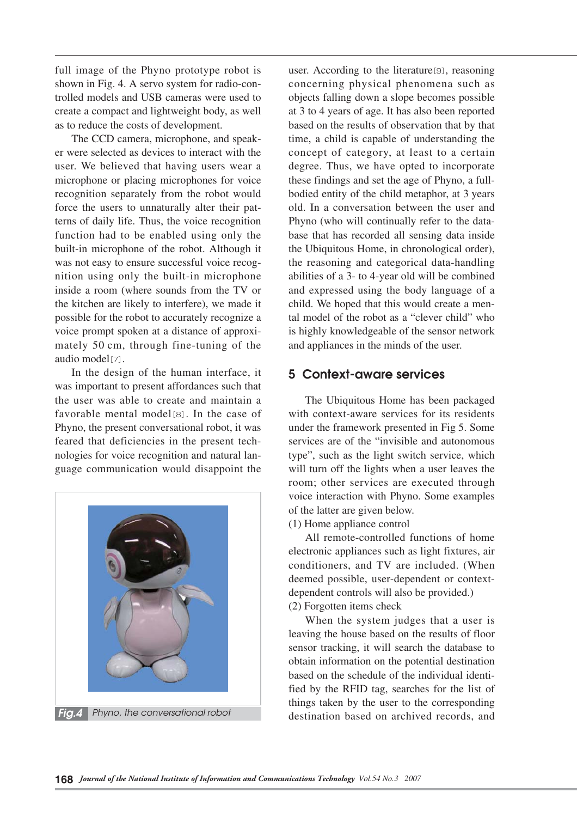full image of the Phyno prototype robot is shown in Fig. 4. A servo system for radio-controlled models and USB cameras were used to create a compact and lightweight body, as well as to reduce the costs of development.

The CCD camera, microphone, and speaker were selected as devices to interact with the user. We believed that having users wear a microphone or placing microphones for voice recognition separately from the robot would force the users to unnaturally alter their patterns of daily life. Thus, the voice recognition function had to be enabled using only the built-in microphone of the robot. Although it was not easy to ensure successful voice recognition using only the built-in microphone inside a room (where sounds from the TV or the kitchen are likely to interfere), we made it possible for the robot to accurately recognize a voice prompt spoken at a distance of approximately 50 cm, through fine-tuning of the audio model[7].

In the design of the human interface, it was important to present affordances such that the user was able to create and maintain a favorable mental model[8]. In the case of Phyno, the present conversational robot, it was feared that deficiencies in the present technologies for voice recognition and natural language communication would disappoint the



user. According to the literature[9], reasoning concerning physical phenomena such as objects falling down a slope becomes possible at 3 to 4 years of age. It has also been reported based on the results of observation that by that time, a child is capable of understanding the concept of category, at least to a certain degree. Thus, we have opted to incorporate these findings and set the age of Phyno, a fullbodied entity of the child metaphor, at 3 years old. In a conversation between the user and Phyno (who will continually refer to the database that has recorded all sensing data inside the Ubiquitous Home, in chronological order), the reasoning and categorical data-handling abilities of a 3- to 4-year old will be combined and expressed using the body language of a child. We hoped that this would create a mental model of the robot as a "clever child" who is highly knowledgeable of the sensor network and appliances in the minds of the user.

### **5 Context-aware services**

The Ubiquitous Home has been packaged with context-aware services for its residents under the framework presented in Fig 5. Some services are of the "invisible and autonomous type", such as the light switch service, which will turn off the lights when a user leaves the room; other services are executed through voice interaction with Phyno. Some examples of the latter are given below.

(1) Home appliance control

All remote-controlled functions of home electronic appliances such as light fixtures, air conditioners, and TV are included. (When deemed possible, user-dependent or contextdependent controls will also be provided.) (2) Forgotten items check

When the system judges that a user is leaving the house based on the results of floor sensor tracking, it will search the database to obtain information on the potential destination based on the schedule of the individual identified by the RFID tag, searches for the list of things taken by the user to the corresponding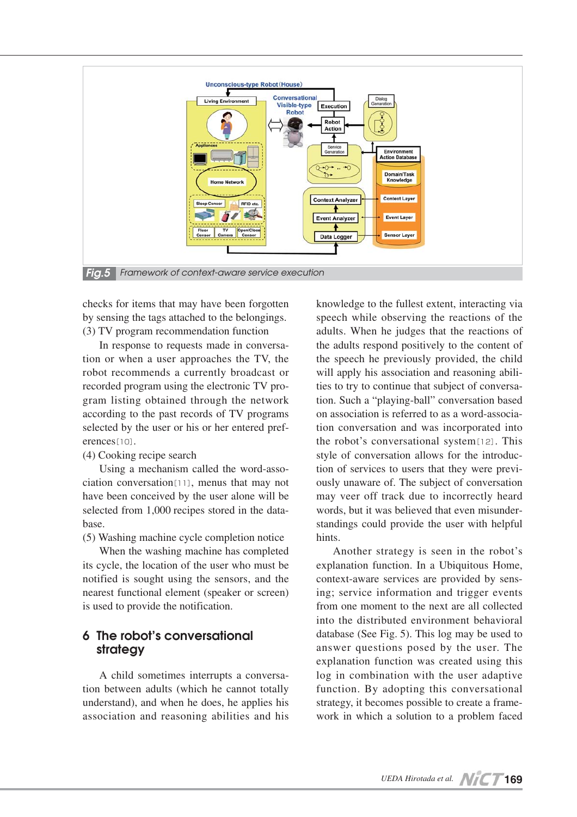

checks for items that may have been forgotten by sensing the tags attached to the belongings. (3) TV program recommendation function

In response to requests made in conversation or when a user approaches the TV, the robot recommends a currently broadcast or recorded program using the electronic TV program listing obtained through the network according to the past records of TV programs selected by the user or his or her entered preferences<sup>[10]</sup>.

### (4) Cooking recipe search

Using a mechanism called the word-association conversation[11], menus that may not have been conceived by the user alone will be selected from 1,000 recipes stored in the database.

(5) Washing machine cycle completion notice

When the washing machine has completed its cycle, the location of the user who must be notified is sought using the sensors, and the nearest functional element (speaker or screen) is used to provide the notification.

# **6 The robot's conversational strategy**

A child sometimes interrupts a conversation between adults (which he cannot totally understand), and when he does, he applies his association and reasoning abilities and his

knowledge to the fullest extent, interacting via speech while observing the reactions of the adults. When he judges that the reactions of the adults respond positively to the content of the speech he previously provided, the child will apply his association and reasoning abilities to try to continue that subject of conversation. Such a "playing-ball" conversation based on association is referred to as a word-association conversation and was incorporated into the robot's conversational system[12]. This style of conversation allows for the introduction of services to users that they were previously unaware of. The subject of conversation may veer off track due to incorrectly heard words, but it was believed that even misunderstandings could provide the user with helpful hints.

Another strategy is seen in the robot's explanation function. In a Ubiquitous Home, context-aware services are provided by sensing; service information and trigger events from one moment to the next are all collected into the distributed environment behavioral database (See Fig. 5). This log may be used to answer questions posed by the user. The explanation function was created using this log in combination with the user adaptive function. By adopting this conversational strategy, it becomes possible to create a framework in which a solution to a problem faced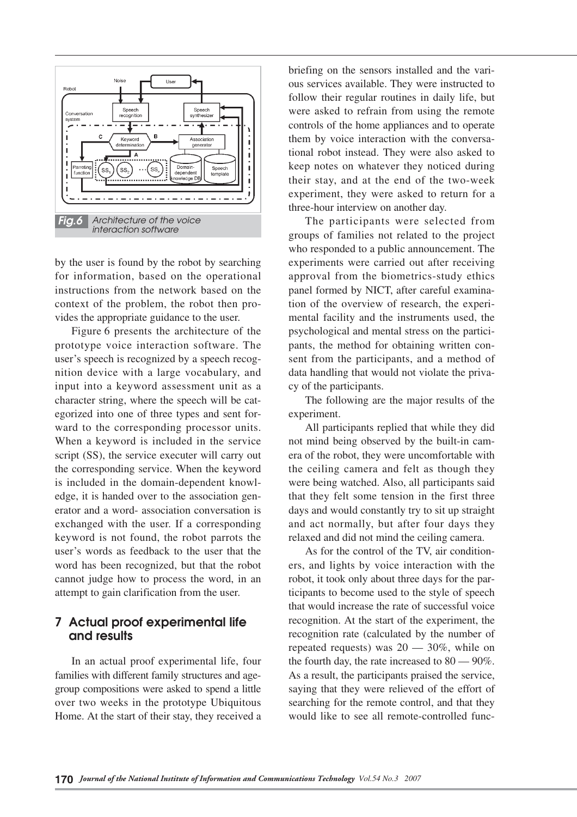

by the user is found by the robot by searching for information, based on the operational instructions from the network based on the context of the problem, the robot then provides the appropriate guidance to the user.

Figure 6 presents the architecture of the prototype voice interaction software. The user's speech is recognized by a speech recognition device with a large vocabulary, and input into a keyword assessment unit as a character string, where the speech will be categorized into one of three types and sent forward to the corresponding processor units. When a keyword is included in the service script (SS), the service executer will carry out the corresponding service. When the keyword is included in the domain-dependent knowledge, it is handed over to the association generator and a word- association conversation is exchanged with the user. If a corresponding keyword is not found, the robot parrots the user's words as feedback to the user that the word has been recognized, but that the robot cannot judge how to process the word, in an attempt to gain clarification from the user.

## **7 Actual proof experimental life and results**

In an actual proof experimental life, four families with different family structures and agegroup compositions were asked to spend a little over two weeks in the prototype Ubiquitous Home. At the start of their stay, they received a briefing on the sensors installed and the various services available. They were instructed to follow their regular routines in daily life, but were asked to refrain from using the remote controls of the home appliances and to operate them by voice interaction with the conversational robot instead. They were also asked to keep notes on whatever they noticed during their stay, and at the end of the two-week experiment, they were asked to return for a three-hour interview on another day.

The participants were selected from groups of families not related to the project who responded to a public announcement. The experiments were carried out after receiving approval from the biometrics-study ethics panel formed by NICT, after careful examination of the overview of research, the experimental facility and the instruments used, the psychological and mental stress on the participants, the method for obtaining written consent from the participants, and a method of data handling that would not violate the privacy of the participants.

The following are the major results of the experiment.

All participants replied that while they did not mind being observed by the built-in camera of the robot, they were uncomfortable with the ceiling camera and felt as though they were being watched. Also, all participants said that they felt some tension in the first three days and would constantly try to sit up straight and act normally, but after four days they relaxed and did not mind the ceiling camera.

As for the control of the TV, air conditioners, and lights by voice interaction with the robot, it took only about three days for the participants to become used to the style of speech that would increase the rate of successful voice recognition. At the start of the experiment, the recognition rate (calculated by the number of repeated requests) was  $20 - 30\%$ , while on the fourth day, the rate increased to  $80 - 90\%$ . As a result, the participants praised the service, saying that they were relieved of the effort of searching for the remote control, and that they would like to see all remote-controlled func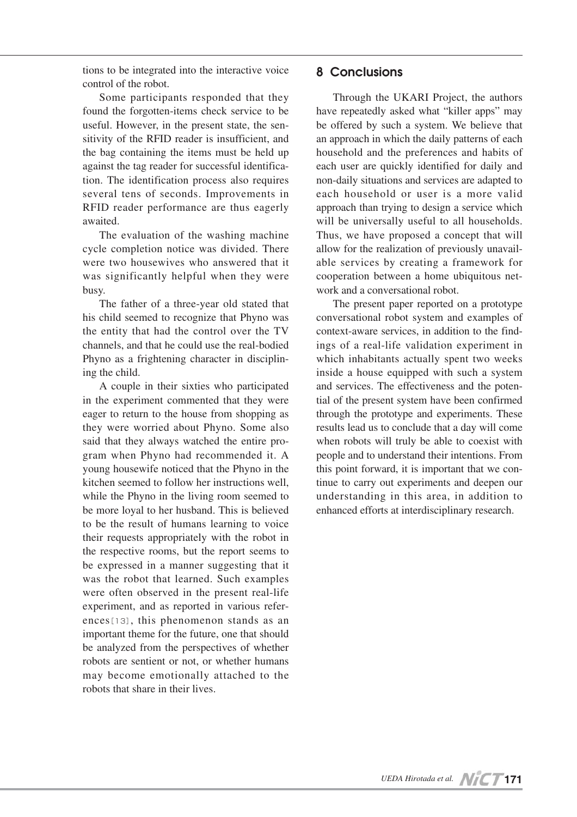tions to be integrated into the interactive voice control of the robot.

Some participants responded that they found the forgotten-items check service to be useful. However, in the present state, the sensitivity of the RFID reader is insufficient, and the bag containing the items must be held up against the tag reader for successful identification. The identification process also requires several tens of seconds. Improvements in RFID reader performance are thus eagerly awaited.

The evaluation of the washing machine cycle completion notice was divided. There were two housewives who answered that it was significantly helpful when they were busy.

The father of a three-year old stated that his child seemed to recognize that Phyno was the entity that had the control over the TV channels, and that he could use the real-bodied Phyno as a frightening character in disciplining the child.

A couple in their sixties who participated in the experiment commented that they were eager to return to the house from shopping as they were worried about Phyno. Some also said that they always watched the entire program when Phyno had recommended it. A young housewife noticed that the Phyno in the kitchen seemed to follow her instructions well, while the Phyno in the living room seemed to be more loyal to her husband. This is believed to be the result of humans learning to voice their requests appropriately with the robot in the respective rooms, but the report seems to be expressed in a manner suggesting that it was the robot that learned. Such examples were often observed in the present real-life experiment, and as reported in various references[13], this phenomenon stands as an important theme for the future, one that should be analyzed from the perspectives of whether robots are sentient or not, or whether humans may become emotionally attached to the robots that share in their lives.

# **8 Conclusions**

Through the UKARI Project, the authors have repeatedly asked what "killer apps" may be offered by such a system. We believe that an approach in which the daily patterns of each household and the preferences and habits of each user are quickly identified for daily and non-daily situations and services are adapted to each household or user is a more valid approach than trying to design a service which will be universally useful to all households. Thus, we have proposed a concept that will allow for the realization of previously unavailable services by creating a framework for cooperation between a home ubiquitous network and a conversational robot.

The present paper reported on a prototype conversational robot system and examples of context-aware services, in addition to the findings of a real-life validation experiment in which inhabitants actually spent two weeks inside a house equipped with such a system and services. The effectiveness and the potential of the present system have been confirmed through the prototype and experiments. These results lead us to conclude that a day will come when robots will truly be able to coexist with people and to understand their intentions. From this point forward, it is important that we continue to carry out experiments and deepen our understanding in this area, in addition to enhanced efforts at interdisciplinary research.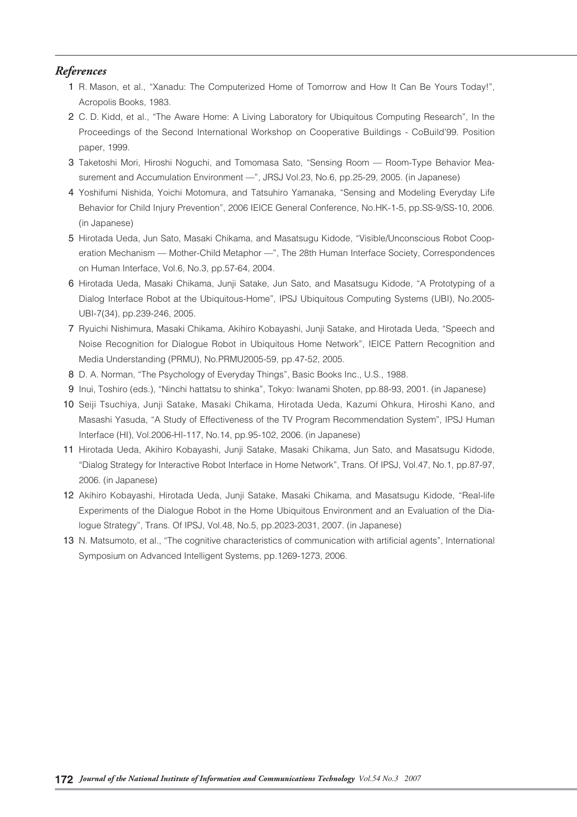### *References*

- 01 R. Mason, et al., "Xanadu: The Computerized Home of Tomorrow and How It Can Be Yours Today!", Acropolis Books, 1983.
- 2 C. D. Kidd, et al., "The Aware Home: A Living Laboratory for Ubiquitous Computing Research", In the Proceedings of the Second International Workshop on Cooperative Buildings - CoBuild'99. Position paper, 1999.
- 3 Taketoshi Mori, Hiroshi Noguchi, and Tomomasa Sato, "Sensing Room Room-Type Behavior Measurement and Accumulation Environment —", JRSJ Vol.23, No.6, pp.25-29, 2005. (in Japanese)
- 04 Yoshifumi Nishida, Yoichi Motomura, and Tatsuhiro Yamanaka, "Sensing and Modeling Everyday Life Behavior for Child Injury Prevention", 2006 IEICE General Conference, No.HK-1-5, pp.SS-9/SS-10, 2006. (in Japanese)
- 05 Hirotada Ueda, Jun Sato, Masaki Chikama, and Masatsugu Kidode, "Visible/Unconscious Robot Cooperation Mechanism — Mother-Child Metaphor —", The 28th Human Interface Society, Correspondences on Human Interface, Vol.6, No.3, pp.57-64, 2004.
- 06 Hirotada Ueda, Masaki Chikama, Junji Satake, Jun Sato, and Masatsugu Kidode, "A Prototyping of a Dialog Interface Robot at the Ubiquitous-Home", IPSJ Ubiquitous Computing Systems (UBI), No.2005- UBI-7(34), pp.239-246, 2005.
- 07 Ryuichi Nishimura, Masaki Chikama, Akihiro Kobayashi, Junji Satake, and Hirotada Ueda, "Speech and Noise Recognition for Dialogue Robot in Ubiquitous Home Network", IEICE Pattern Recognition and Media Understanding (PRMU), No.PRMU2005-59, pp.47-52, 2005.
- 08 D. A. Norman, "The Psychology of Everyday Things", Basic Books Inc., U.S., 1988.
- 09 Inui, Toshiro (eds.), "Ninchi hattatsu to shinka", Tokyo: Iwanami Shoten, pp.88-93, 2001. (in Japanese)
- 10 Seiji Tsuchiya, Junji Satake, Masaki Chikama, Hirotada Ueda, Kazumi Ohkura, Hiroshi Kano, and Masashi Yasuda, "A Study of Effectiveness of the TV Program Recommendation System", IPSJ Human Interface (HI), Vol.2006-HI-117, No.14, pp.95-102, 2006. (in Japanese)
- 11 Hirotada Ueda, Akihiro Kobayashi, Junji Satake, Masaki Chikama, Jun Sato, and Masatsugu Kidode, "Dialog Strategy for Interactive Robot Interface in Home Network", Trans. Of IPSJ, Vol.47, No.1, pp.87-97, 2006. (in Japanese)
- 12 Akihiro Kobayashi, Hirotada Ueda, Junji Satake, Masaki Chikama, and Masatsugu Kidode, "Real-life Experiments of the Dialogue Robot in the Home Ubiquitous Environment and an Evaluation of the Dialogue Strategy", Trans. Of IPSJ, Vol.48, No.5, pp.2023-2031, 2007. (in Japanese)
- 13 N. Matsumoto, et al., "The cognitive characteristics of communication with artificial agents", International Symposium on Advanced Intelligent Systems, pp.1269-1273, 2006.